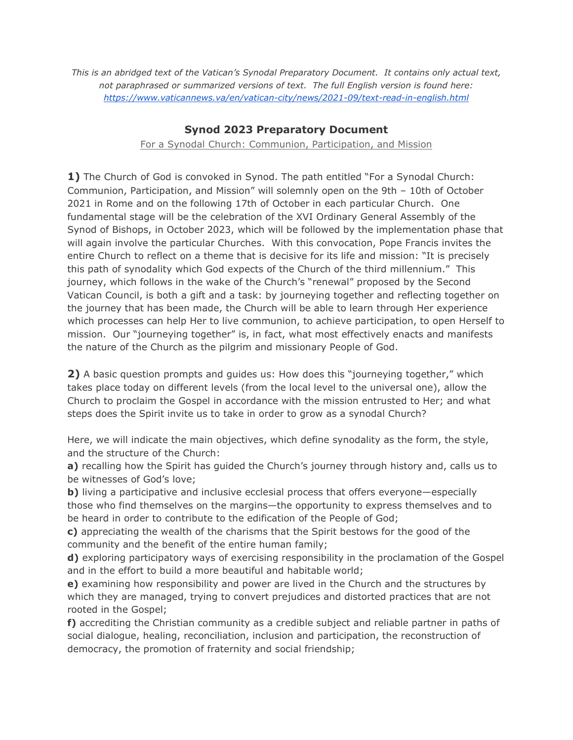*This is an abridged text of the Vatican's Synodal Preparatory Document. It contains only actual text, not paraphrased or summarized versions of text. The full English version is found here: <https://www.vaticannews.va/en/vatican-city/news/2021-09/text-read-in-english.html>*

## **Synod 2023 Preparatory Document**

#### For a Synodal Church: Communion, Participation, and Mission

**1)** The Church of God is convoked in Synod. The path entitled "For a Synodal Church: Communion, Participation, and Mission" will solemnly open on the 9th – 10th of October 2021 in Rome and on the following 17th of October in each particular Church. One fundamental stage will be the celebration of the XVI Ordinary General Assembly of the Synod of Bishops, in October 2023, which will be followed by the implementation phase that will again involve the particular Churches. With this convocation, Pope Francis invites the entire Church to reflect on a theme that is decisive for its life and mission: "It is precisely this path of synodality which God expects of the Church of the third millennium." This journey, which follows in the wake of the Church's "renewal" proposed by the Second Vatican Council, is both a gift and a task: by journeying together and reflecting together on the journey that has been made, the Church will be able to learn through Her experience which processes can help Her to live communion, to achieve participation, to open Herself to mission. Our "journeying together" is, in fact, what most effectively enacts and manifests the nature of the Church as the pilgrim and missionary People of God.

**2)** A basic question prompts and guides us: How does this "journeying together," which takes place today on different levels (from the local level to the universal one), allow the Church to proclaim the Gospel in accordance with the mission entrusted to Her; and what steps does the Spirit invite us to take in order to grow as a synodal Church?

Here, we will indicate the main objectives, which define synodality as the form, the style, and the structure of the Church:

**a)** recalling how the Spirit has guided the Church's journey through history and, calls us to be witnesses of God's love;

**b**) living a participative and inclusive ecclesial process that offers everyone—especially those who find themselves on the margins—the opportunity to express themselves and to be heard in order to contribute to the edification of the People of God;

**c)** appreciating the wealth of the charisms that the Spirit bestows for the good of the community and the benefit of the entire human family;

**d)** exploring participatory ways of exercising responsibility in the proclamation of the Gospel and in the effort to build a more beautiful and habitable world;

**e)** examining how responsibility and power are lived in the Church and the structures by which they are managed, trying to convert prejudices and distorted practices that are not rooted in the Gospel;

**f)** accrediting the Christian community as a credible subject and reliable partner in paths of social dialogue, healing, reconciliation, inclusion and participation, the reconstruction of democracy, the promotion of fraternity and social friendship;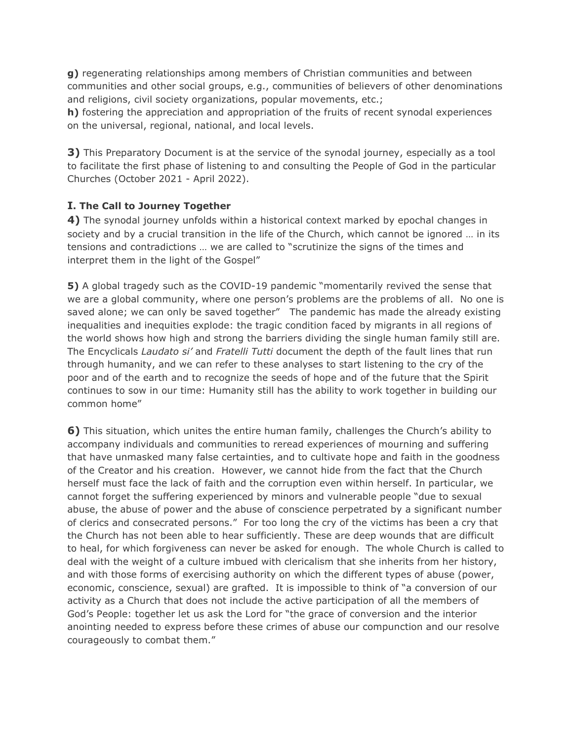**g)** regenerating relationships among members of Christian communities and between communities and other social groups, e.g., communities of believers of other denominations and religions, civil society organizations, popular movements, etc.;

**h)** fostering the appreciation and appropriation of the fruits of recent synodal experiences on the universal, regional, national, and local levels.

**3)** This Preparatory Document is at the service of the synodal journey, especially as a tool to facilitate the first phase of listening to and consulting the People of God in the particular Churches (October 2021 - April 2022).

#### **I. The Call to Journey Together**

**4)** The synodal journey unfolds within a historical context marked by epochal changes in society and by a crucial transition in the life of the Church, which cannot be ignored … in its tensions and contradictions … we are called to "scrutinize the signs of the times and interpret them in the light of the Gospel"

**5)** A global tragedy such as the COVID-19 pandemic "momentarily revived the sense that we are a global community, where one person's problems are the problems of all. No one is saved alone; we can only be saved together" The pandemic has made the already existing inequalities and inequities explode: the tragic condition faced by migrants in all regions of the world shows how high and strong the barriers dividing the single human family still are. The Encyclicals *Laudato si'* and *Fratelli Tutti* document the depth of the fault lines that run through humanity, and we can refer to these analyses to start listening to the cry of the poor and of the earth and to recognize the seeds of hope and of the future that the Spirit continues to sow in our time: Humanity still has the ability to work together in building our common home"

**6)** This situation, which unites the entire human family, challenges the Church's ability to accompany individuals and communities to reread experiences of mourning and suffering that have unmasked many false certainties, and to cultivate hope and faith in the goodness of the Creator and his creation. However, we cannot hide from the fact that the Church herself must face the lack of faith and the corruption even within herself. In particular, we cannot forget the suffering experienced by minors and vulnerable people "due to sexual abuse, the abuse of power and the abuse of conscience perpetrated by a significant number of clerics and consecrated persons." For too long the cry of the victims has been a cry that the Church has not been able to hear sufficiently. These are deep wounds that are difficult to heal, for which forgiveness can never be asked for enough. The whole Church is called to deal with the weight of a culture imbued with clericalism that she inherits from her history, and with those forms of exercising authority on which the different types of abuse (power, economic, conscience, sexual) are grafted. It is impossible to think of "a conversion of our activity as a Church that does not include the active participation of all the members of God's People: together let us ask the Lord for "the grace of conversion and the interior anointing needed to express before these crimes of abuse our compunction and our resolve courageously to combat them."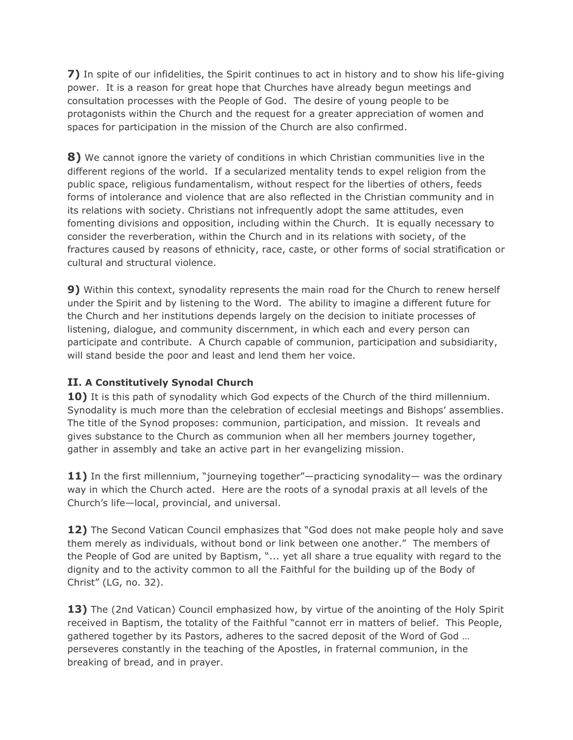**7)** In spite of our infidelities, the Spirit continues to act in history and to show his life-giving power. It is a reason for great hope that Churches have already begun meetings and consultation processes with the People of God. The desire of young people to be protagonists within the Church and the request for a greater appreciation of women and spaces for participation in the mission of the Church are also confirmed.

**8)** We cannot ignore the variety of conditions in which Christian communities live in the different regions of the world. If a secularized mentality tends to expel religion from the public space, religious fundamentalism, without respect for the liberties of others, feeds forms of intolerance and violence that are also reflected in the Christian community and in its relations with society. Christians not infrequently adopt the same attitudes, even fomenting divisions and opposition, including within the Church. It is equally necessary to consider the reverberation, within the Church and in its relations with society, of the fractures caused by reasons of ethnicity, race, caste, or other forms of social stratification or cultural and structural violence.

**9)** Within this context, synodality represents the main road for the Church to renew herself under the Spirit and by listening to the Word. The ability to imagine a different future for the Church and her institutions depends largely on the decision to initiate processes of listening, dialogue, and community discernment, in which each and every person can participate and contribute. A Church capable of communion, participation and subsidiarity, will stand beside the poor and least and lend them her voice.

# **II. A Constitutively Synodal Church**

**10)** It is this path of synodality which God expects of the Church of the third millennium. Synodality is much more than the celebration of ecclesial meetings and Bishops' assemblies. The title of the Synod proposes: communion, participation, and mission. It reveals and gives substance to the Church as communion when all her members journey together, gather in assembly and take an active part in her evangelizing mission.

**11)** In the first millennium, "journeying together"—practicing synodality— was the ordinary way in which the Church acted. Here are the roots of a synodal praxis at all levels of the Church's life—local, provincial, and universal.

**12)** The Second Vatican Council emphasizes that "God does not make people holy and save them merely as individuals, without bond or link between one another." The members of the People of God are united by Baptism, "... yet all share a true equality with regard to the dignity and to the activity common to all the Faithful for the building up of the Body of Christ" (LG, no. 32).

13) The (2nd Vatican) Council emphasized how, by virtue of the anointing of the Holy Spirit received in Baptism, the totality of the Faithful "cannot err in matters of belief. This People, gathered together by its Pastors, adheres to the sacred deposit of the Word of God … perseveres constantly in the teaching of the Apostles, in fraternal communion, in the breaking of bread, and in prayer.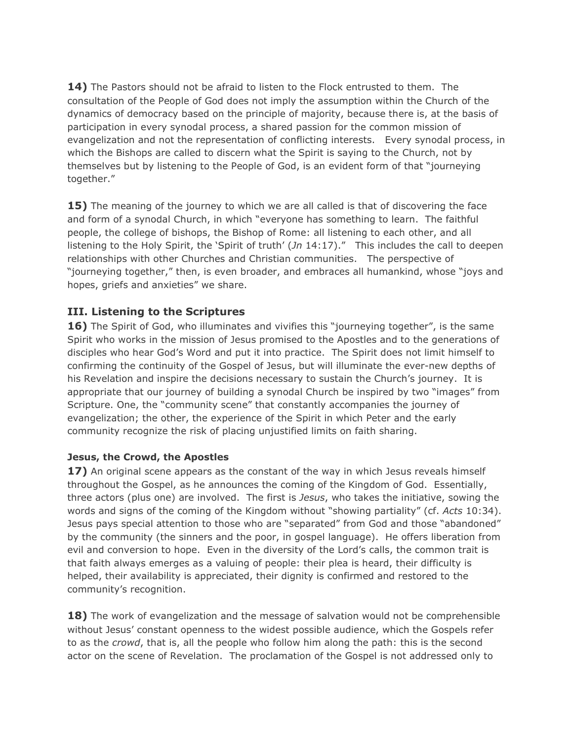**14)** The Pastors should not be afraid to listen to the Flock entrusted to them. The consultation of the People of God does not imply the assumption within the Church of the dynamics of democracy based on the principle of majority, because there is, at the basis of participation in every synodal process, a shared passion for the common mission of evangelization and not the representation of conflicting interests. Every synodal process, in which the Bishops are called to discern what the Spirit is saying to the Church, not by themselves but by listening to the People of God, is an evident form of that "journeying together."

**15)** The meaning of the journey to which we are all called is that of discovering the face and form of a synodal Church, in which "everyone has something to learn. The faithful people, the college of bishops, the Bishop of Rome: all listening to each other, and all listening to the Holy Spirit, the 'Spirit of truth' (*Jn* 14:17)." This includes the call to deepen relationships with other Churches and Christian communities. The perspective of "journeying together," then, is even broader, and embraces all humankind, whose "joys and hopes, griefs and anxieties" we share.

## **III. Listening to the Scriptures**

**16)** The Spirit of God, who illuminates and vivifies this "journeying together", is the same Spirit who works in the mission of Jesus promised to the Apostles and to the generations of disciples who hear God's Word and put it into practice. The Spirit does not limit himself to confirming the continuity of the Gospel of Jesus, but will illuminate the ever-new depths of his Revelation and inspire the decisions necessary to sustain the Church's journey. It is appropriate that our journey of building a synodal Church be inspired by two "images" from Scripture. One, the "community scene" that constantly accompanies the journey of evangelization; the other, the experience of the Spirit in which Peter and the early community recognize the risk of placing unjustified limits on faith sharing.

### **Jesus, the Crowd, the Apostles**

**17)** An original scene appears as the constant of the way in which Jesus reveals himself throughout the Gospel, as he announces the coming of the Kingdom of God. Essentially, three actors (plus one) are involved. The first is *Jesus*, who takes the initiative, sowing the words and signs of the coming of the Kingdom without "showing partiality" (cf. *Acts* 10:34). Jesus pays special attention to those who are "separated" from God and those "abandoned" by the community (the sinners and the poor, in gospel language). He offers liberation from evil and conversion to hope. Even in the diversity of the Lord's calls, the common trait is that faith always emerges as a valuing of people: their plea is heard, their difficulty is helped, their availability is appreciated, their dignity is confirmed and restored to the community's recognition.

**18)** The work of evangelization and the message of salvation would not be comprehensible without Jesus' constant openness to the widest possible audience, which the Gospels refer to as the *crowd*, that is, all the people who follow him along the path: this is the second actor on the scene of Revelation. The proclamation of the Gospel is not addressed only to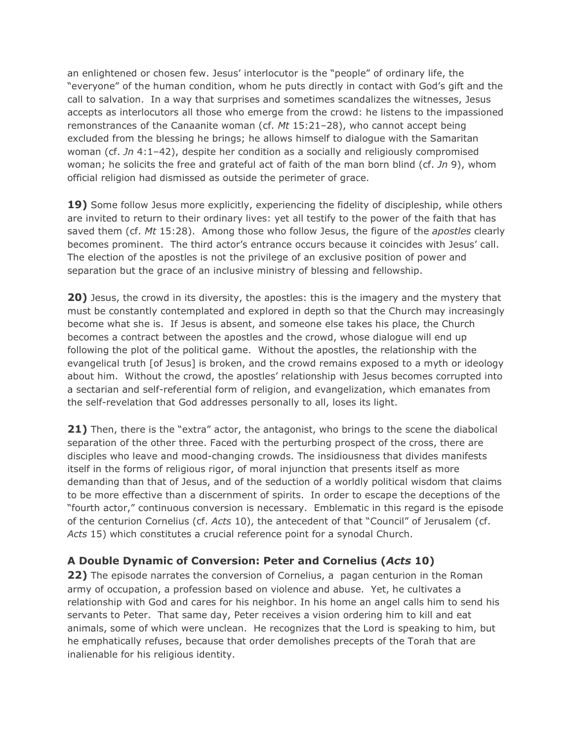an enlightened or chosen few. Jesus' interlocutor is the "people" of ordinary life, the "everyone" of the human condition, whom he puts directly in contact with God's gift and the call to salvation. In a way that surprises and sometimes scandalizes the witnesses, Jesus accepts as interlocutors all those who emerge from the crowd: he listens to the impassioned remonstrances of the Canaanite woman (cf. *Mt* 15:21–28), who cannot accept being excluded from the blessing he brings; he allows himself to dialogue with the Samaritan woman (cf. *Jn* 4:1–42), despite her condition as a socially and religiously compromised woman; he solicits the free and grateful act of faith of the man born blind (cf. *Jn* 9), whom official religion had dismissed as outside the perimeter of grace.

**19)** Some follow Jesus more explicitly, experiencing the fidelity of discipleship, while others are invited to return to their ordinary lives: yet all testify to the power of the faith that has saved them (cf. *Mt* 15:28). Among those who follow Jesus, the figure of the *apostles* clearly becomes prominent. The third actor's entrance occurs because it coincides with Jesus' call. The election of the apostles is not the privilege of an exclusive position of power and separation but the grace of an inclusive ministry of blessing and fellowship.

**20)** Jesus, the crowd in its diversity, the apostles: this is the imagery and the mystery that must be constantly contemplated and explored in depth so that the Church may increasingly become what she is. If Jesus is absent, and someone else takes his place, the Church becomes a contract between the apostles and the crowd, whose dialogue will end up following the plot of the political game. Without the apostles, the relationship with the evangelical truth [of Jesus] is broken, and the crowd remains exposed to a myth or ideology about him. Without the crowd, the apostles' relationship with Jesus becomes corrupted into a sectarian and self-referential form of religion, and evangelization, which emanates from the self-revelation that God addresses personally to all, loses its light.

**21)** Then, there is the "extra" actor, the antagonist, who brings to the scene the diabolical separation of the other three. Faced with the perturbing prospect of the cross, there are disciples who leave and mood-changing crowds. The insidiousness that divides manifests itself in the forms of religious rigor, of moral injunction that presents itself as more demanding than that of Jesus, and of the seduction of a worldly political wisdom that claims to be more effective than a discernment of spirits. In order to escape the deceptions of the "fourth actor," continuous conversion is necessary. Emblematic in this regard is the episode of the centurion Cornelius (cf. *Acts* 10), the antecedent of that "Council" of Jerusalem (cf. *Acts* 15) which constitutes a crucial reference point for a synodal Church.

# **A Double Dynamic of Conversion: Peter and Cornelius (***Acts* **10)**

**22)** The episode narrates the conversion of Cornelius, a pagan centurion in the Roman army of occupation, a profession based on violence and abuse. Yet, he cultivates a relationship with God and cares for his neighbor. In his home an angel calls him to send his servants to Peter. That same day, Peter receives a vision ordering him to kill and eat animals, some of which were unclean. He recognizes that the Lord is speaking to him, but he emphatically refuses, because that order demolishes precepts of the Torah that are inalienable for his religious identity.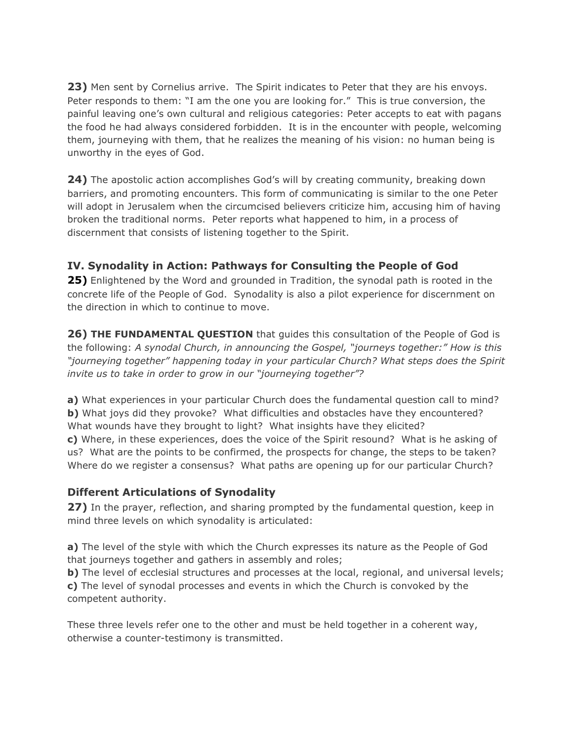**23)** Men sent by Cornelius arrive. The Spirit indicates to Peter that they are his envoys. Peter responds to them: "I am the one you are looking for." This is true conversion, the painful leaving one's own cultural and religious categories: Peter accepts to eat with pagans the food he had always considered forbidden. It is in the encounter with people, welcoming them, journeying with them, that he realizes the meaning of his vision: no human being is unworthy in the eyes of God.

**24)** The apostolic action accomplishes God's will by creating community, breaking down barriers, and promoting encounters. This form of communicating is similar to the one Peter will adopt in Jerusalem when the circumcised believers criticize him, accusing him of having broken the traditional norms. Peter reports what happened to him, in a process of discernment that consists of listening together to the Spirit.

# **IV. Synodality in Action: Pathways for Consulting the People of God**

**25)** Enlightened by the Word and grounded in Tradition, the synodal path is rooted in the concrete life of the People of God. Synodality is also a pilot experience for discernment on the direction in which to continue to move.

**26) THE FUNDAMENTAL QUESTION** that guides this consultation of the People of God is the following: *A synodal Church, in announcing the Gospel, "journeys together:" How is this "journeying together" happening today in your particular Church? What steps does the Spirit invite us to take in order to grow in our "journeying together"?*

**a)** What experiences in your particular Church does the fundamental question call to mind? **b)** What joys did they provoke? What difficulties and obstacles have they encountered? What wounds have they brought to light? What insights have they elicited? **c)** Where, in these experiences, does the voice of the Spirit resound? What is he asking of us? What are the points to be confirmed, the prospects for change, the steps to be taken? Where do we register a consensus? What paths are opening up for our particular Church?

# **Different Articulations of Synodality**

**27)** In the prayer, reflection, and sharing prompted by the fundamental question, keep in mind three levels on which synodality is articulated:

**a)** The level of the style with which the Church expresses its nature as the People of God that journeys together and gathers in assembly and roles;

**b)** The level of ecclesial structures and processes at the local, regional, and universal levels; **c)** The level of synodal processes and events in which the Church is convoked by the competent authority.

These three levels refer one to the other and must be held together in a coherent way, otherwise a counter-testimony is transmitted.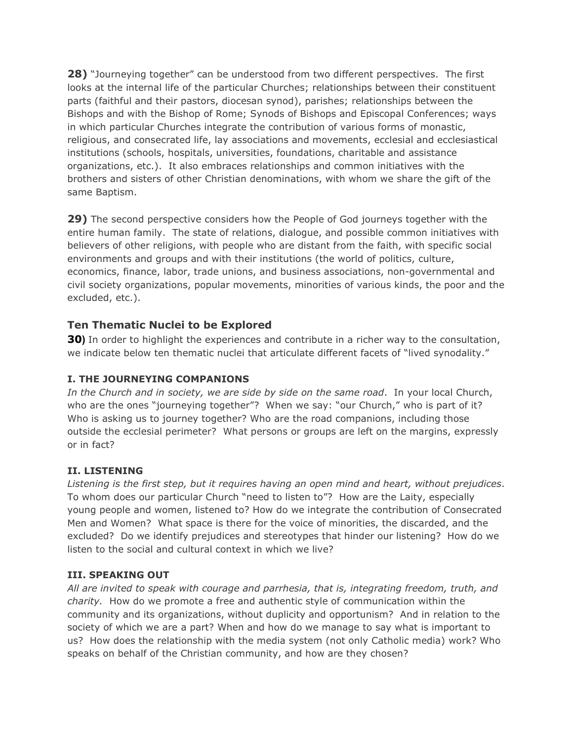**28)** "Journeying together" can be understood from two different perspectives. The first looks at the internal life of the particular Churches; relationships between their constituent parts (faithful and their pastors, diocesan synod), parishes; relationships between the Bishops and with the Bishop of Rome; Synods of Bishops and Episcopal Conferences; ways in which particular Churches integrate the contribution of various forms of monastic, religious, and consecrated life, lay associations and movements, ecclesial and ecclesiastical institutions (schools, hospitals, universities, foundations, charitable and assistance organizations, etc.). It also embraces relationships and common initiatives with the brothers and sisters of other Christian denominations, with whom we share the gift of the same Baptism.

**29)** The second perspective considers how the People of God journeys together with the entire human family. The state of relations, dialogue, and possible common initiatives with believers of other religions, with people who are distant from the faith, with specific social environments and groups and with their institutions (the world of politics, culture, economics, finance, labor, trade unions, and business associations, non-governmental and civil society organizations, popular movements, minorities of various kinds, the poor and the excluded, etc.).

## **Ten Thematic Nuclei to be Explored**

**30)** In order to highlight the experiences and contribute in a richer way to the consultation, we indicate below ten thematic nuclei that articulate different facets of "lived synodality."

### **I. THE JOURNEYING COMPANIONS**

*In the Church and in society, we are side by side on the same road*. In your local Church, who are the ones "journeying together"? When we say: "our Church," who is part of it? Who is asking us to journey together? Who are the road companions, including those outside the ecclesial perimeter? What persons or groups are left on the margins, expressly or in fact?

### **II. LISTENING**

*Listening is the first step, but it requires having an open mind and heart, without prejudices*. To whom does our particular Church "need to listen to"? How are the Laity, especially young people and women, listened to? How do we integrate the contribution of Consecrated Men and Women? What space is there for the voice of minorities, the discarded, and the excluded? Do we identify prejudices and stereotypes that hinder our listening? How do we listen to the social and cultural context in which we live?

### **III. SPEAKING OUT**

*All are invited to speak with courage and parrhesia, that is, integrating freedom, truth, and charity.* How do we promote a free and authentic style of communication within the community and its organizations, without duplicity and opportunism? And in relation to the society of which we are a part? When and how do we manage to say what is important to us? How does the relationship with the media system (not only Catholic media) work? Who speaks on behalf of the Christian community, and how are they chosen?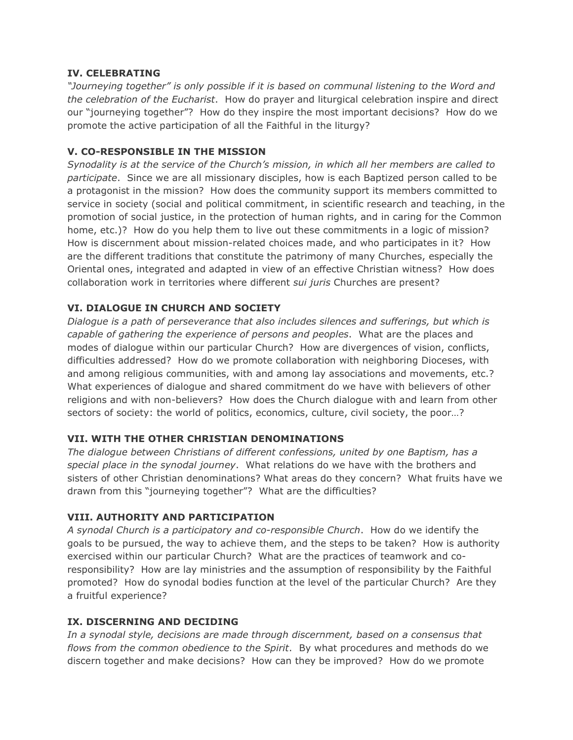#### **IV. CELEBRATING**

*"Journeying together" is only possible if it is based on communal listening to the Word and the celebration of the Eucharist*. How do prayer and liturgical celebration inspire and direct our "journeying together"? How do they inspire the most important decisions? How do we promote the active participation of all the Faithful in the liturgy?

#### **V. CO-RESPONSIBLE IN THE MISSION**

*Synodality is at the service of the Church's mission, in which all her members are called to participate*. Since we are all missionary disciples, how is each Baptized person called to be a protagonist in the mission? How does the community support its members committed to service in society (social and political commitment, in scientific research and teaching, in the promotion of social justice, in the protection of human rights, and in caring for the Common home, etc.)? How do you help them to live out these commitments in a logic of mission? How is discernment about mission-related choices made, and who participates in it? How are the different traditions that constitute the patrimony of many Churches, especially the Oriental ones, integrated and adapted in view of an effective Christian witness? How does collaboration work in territories where different *sui juris* Churches are present?

#### **VI. DIALOGUE IN CHURCH AND SOCIETY**

*Dialogue is a path of perseverance that also includes silences and sufferings, but which is capable of gathering the experience of persons and peoples*. What are the places and modes of dialogue within our particular Church? How are divergences of vision, conflicts, difficulties addressed? How do we promote collaboration with neighboring Dioceses, with and among religious communities, with and among lay associations and movements, etc.? What experiences of dialogue and shared commitment do we have with believers of other religions and with non-believers? How does the Church dialogue with and learn from other sectors of society: the world of politics, economics, culture, civil society, the poor…?

#### **VII. WITH THE OTHER CHRISTIAN DENOMINATIONS**

*The dialogue between Christians of different confessions, united by one Baptism, has a special place in the synodal journey*. What relations do we have with the brothers and sisters of other Christian denominations? What areas do they concern? What fruits have we drawn from this "journeying together"? What are the difficulties?

#### **VIII. AUTHORITY AND PARTICIPATION**

*A synodal Church is a participatory and co-responsible Church*. How do we identify the goals to be pursued, the way to achieve them, and the steps to be taken? How is authority exercised within our particular Church? What are the practices of teamwork and coresponsibility? How are lay ministries and the assumption of responsibility by the Faithful promoted? How do synodal bodies function at the level of the particular Church? Are they a fruitful experience?

#### **IX. DISCERNING AND DECIDING**

*In a synodal style, decisions are made through discernment, based on a consensus that flows from the common obedience to the Spirit*. By what procedures and methods do we discern together and make decisions? How can they be improved? How do we promote